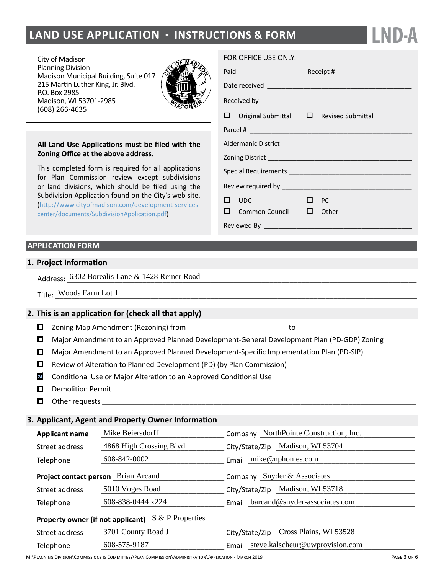# **land Use Application - instructions & form**

City of Madison Planning Division Madison Municipal Building, Suite 017 215 Martin Luther King, Jr. Blvd. P.O. Box 2985 Madison, WI 53701-2985 (608) 266-4635



## **All Land Use Applications must be filed with the Zoning Office at the above address.**

This completed form is required for all applications for Plan Commission review except subdivisions or land divisions, which should be filed using the Subdivision Application found on the City's web site. ([http://www.cityofmadison.com/development-services](http://www.cityofmadison.com/development-services-center/documents/SubdivisionApplication.pdf)[center/documents/SubdivisionApplication.pdf\)](http://www.cityofmadison.com/development-services-center/documents/SubdivisionApplication.pdf)

## **APPLICATION FORM**

## **1. Project Information**

Address: 6302 Borealis Lane & 1428 Reiner Road (1999) 88 (1999) 89 (1999) 89 (1999) 89 (1999) 89 (1999) 89 (19

Title:  $\frac{\text{Woods Farm Lot 1}}{\text{Woods Farm Lot 2}}$ 

## **2. This is an application for (check all that apply)**

- Zoning Map Amendment (Rezoning) from \_\_\_\_\_\_\_\_\_\_\_\_\_\_\_\_\_\_\_\_\_\_\_\_\_ to \_\_\_\_\_\_\_\_\_\_\_\_\_\_\_\_\_\_\_\_\_\_\_\_\_\_\_\_\_
- Major Amendment to an Approved Planned Development-General Development Plan (PD-GDP) Zoning
- Major Amendment to an Approved Planned Development-Specific Implementation Plan (PD-SIP)
- $\Box$  Review of Alteration to Planned Development (PD) (by Plan Commission)
- $\Box$  Conditional Use or Major Alteration to an Approved Conditional Use
- **D** Demolition Permit
- $\Box$  Other requests

## **3. Applicant, Agent and Property Owner Information**

| <b>Applicant name</b>                                        | Mike Beiersdorff        | Company NorthPointe Construction, Inc. |  |
|--------------------------------------------------------------|-------------------------|----------------------------------------|--|
| Street address                                               | 4868 High Crossing Blvd | City/State/Zip Madison, WI 53704       |  |
| Telephone                                                    | 608-842-0002            | Email mike@nphomes.com                 |  |
| <b>Project contact person</b> Brian Arcand                   |                         | Snyder & Associates<br>Company         |  |
| Street address                                               | 5010 Voges Road         | City/State/Zip Madison, WI 53718       |  |
| Telephone                                                    | 608-838-0444 x224       | Email barcand@snyder-associates.com    |  |
| <b>Property owner (if not applicant)</b> $S \& P$ Properties |                         |                                        |  |
| Street address                                               | 3701 County Road J      | City/State/Zip Cross Plains, WI 53528  |  |
| Telephone                                                    | 608-575-9187            | Email steve.kalscheur@uwprovision.com  |  |

#### Page 3 of 6

#### FOR OFFICE USE ONLY:

| $\Box$ Original Submittal $\Box$ Revised Submittal |           |                                                           |
|----------------------------------------------------|-----------|-----------------------------------------------------------|
|                                                    |           |                                                           |
|                                                    |           |                                                           |
|                                                    |           |                                                           |
|                                                    |           |                                                           |
|                                                    |           |                                                           |
| $\square$ $\square$                                | $\Box$ PC |                                                           |
|                                                    |           | $\Box$ Common Council $\Box$ Other ______________________ |
|                                                    |           |                                                           |

**LND-A**